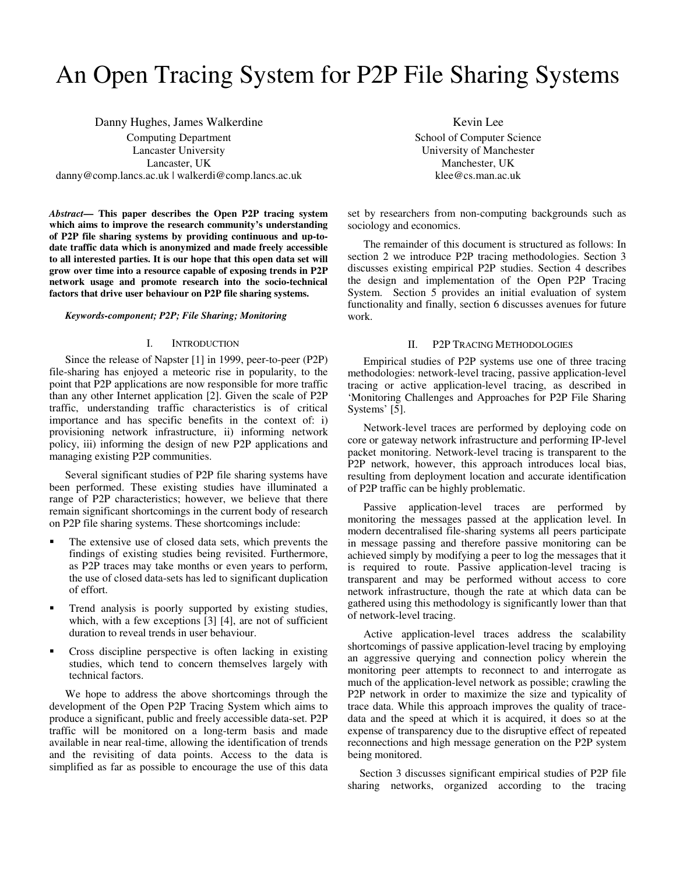# An Open Tracing System for P2P File Sharing Systems

Danny Hughes, James Walkerdine Computing Department Lancaster University Lancaster, UK danny@comp.lancs.ac.uk | walkerdi@comp.lancs.ac.uk

*Abstract***— This paper describes the Open P2P tracing system which aims to improve the research community's understanding of P2P file sharing systems by providing continuous and up-todate traffic data which is anonymized and made freely accessible to all interested parties. It is our hope that this open data set will grow over time into a resource capable of exposing trends in P2P network usage and promote research into the socio-technical factors that drive user behaviour on P2P file sharing systems.** 

#### *Keywords-component; P2P; File Sharing; Monitoring*

#### I. INTRODUCTION

Since the release of Napster [1] in 1999, peer-to-peer (P2P) file-sharing has enjoyed a meteoric rise in popularity, to the point that P2P applications are now responsible for more traffic than any other Internet application [2]. Given the scale of P2P traffic, understanding traffic characteristics is of critical importance and has specific benefits in the context of: i) provisioning network infrastructure, ii) informing network policy, iii) informing the design of new P2P applications and managing existing P2P communities.

Several significant studies of P2P file sharing systems have been performed. These existing studies have illuminated a range of P2P characteristics; however, we believe that there remain significant shortcomings in the current body of research on P2P file sharing systems. These shortcomings include:

- The extensive use of closed data sets, which prevents the findings of existing studies being revisited. Furthermore, as P2P traces may take months or even years to perform, the use of closed data-sets has led to significant duplication of effort.
- **Trend analysis is poorly supported by existing studies,** which, with a few exceptions [3] [4], are not of sufficient duration to reveal trends in user behaviour.
- Cross discipline perspective is often lacking in existing studies, which tend to concern themselves largely with technical factors.

We hope to address the above shortcomings through the development of the Open P2P Tracing System which aims to produce a significant, public and freely accessible data-set. P2P traffic will be monitored on a long-term basis and made available in near real-time, allowing the identification of trends and the revisiting of data points. Access to the data is simplified as far as possible to encourage the use of this data

Kevin Lee School of Computer Science University of Manchester Manchester, UK klee@cs.man.ac.uk

set by researchers from non-computing backgrounds such as sociology and economics.

The remainder of this document is structured as follows: In section 2 we introduce P2P tracing methodologies. Section 3 discusses existing empirical P2P studies. Section 4 describes the design and implementation of the Open P2P Tracing System. Section 5 provides an initial evaluation of system functionality and finally, section 6 discusses avenues for future work.

# II. P2P TRACING METHODOLOGIES

Empirical studies of P2P systems use one of three tracing methodologies: network-level tracing, passive application-level tracing or active application-level tracing, as described in 'Monitoring Challenges and Approaches for P2P File Sharing Systems' [5].

Network-level traces are performed by deploying code on core or gateway network infrastructure and performing IP-level packet monitoring. Network-level tracing is transparent to the P2P network, however, this approach introduces local bias, resulting from deployment location and accurate identification of P2P traffic can be highly problematic.

Passive application-level traces are performed by monitoring the messages passed at the application level. In modern decentralised file-sharing systems all peers participate in message passing and therefore passive monitoring can be achieved simply by modifying a peer to log the messages that it is required to route. Passive application-level tracing is transparent and may be performed without access to core network infrastructure, though the rate at which data can be gathered using this methodology is significantly lower than that of network-level tracing.

Active application-level traces address the scalability shortcomings of passive application-level tracing by employing an aggressive querying and connection policy wherein the monitoring peer attempts to reconnect to and interrogate as much of the application-level network as possible; crawling the P2P network in order to maximize the size and typicality of trace data. While this approach improves the quality of tracedata and the speed at which it is acquired, it does so at the expense of transparency due to the disruptive effect of repeated reconnections and high message generation on the P2P system being monitored.

Section 3 discusses significant empirical studies of P2P file sharing networks, organized according to the tracing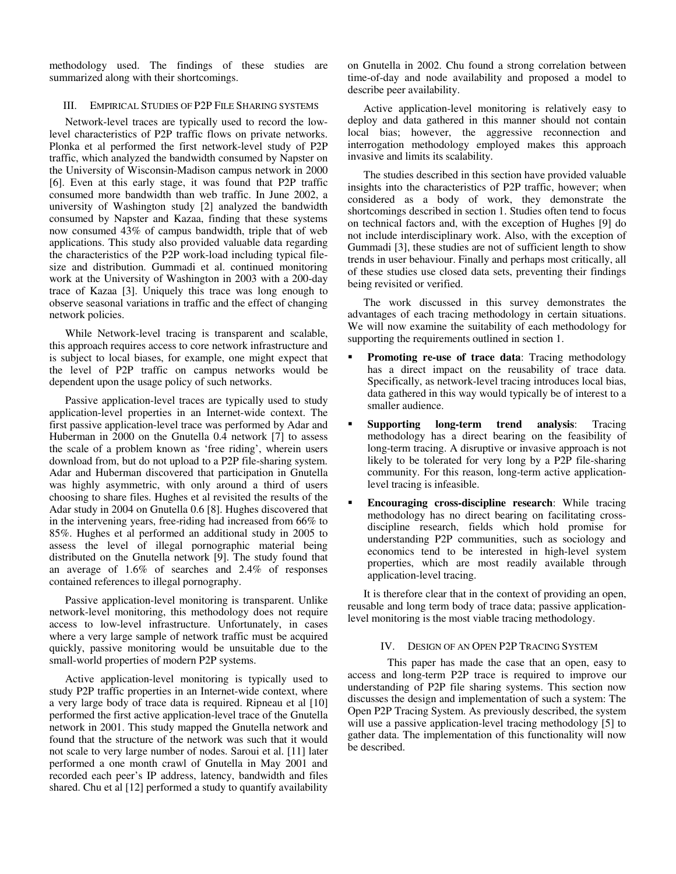methodology used. The findings of these studies are summarized along with their shortcomings.

### III. EMPIRICAL STUDIES OF P2P FILE SHARING SYSTEMS

Network-level traces are typically used to record the lowlevel characteristics of P2P traffic flows on private networks. Plonka et al performed the first network-level study of P2P traffic, which analyzed the bandwidth consumed by Napster on the University of Wisconsin-Madison campus network in 2000 [6]. Even at this early stage, it was found that P2P traffic consumed more bandwidth than web traffic. In June 2002, a university of Washington study [2] analyzed the bandwidth consumed by Napster and Kazaa, finding that these systems now consumed 43% of campus bandwidth, triple that of web applications. This study also provided valuable data regarding the characteristics of the P2P work-load including typical filesize and distribution. Gummadi et al. continued monitoring work at the University of Washington in 2003 with a 200-day trace of Kazaa [3]. Uniquely this trace was long enough to observe seasonal variations in traffic and the effect of changing network policies.

While Network-level tracing is transparent and scalable, this approach requires access to core network infrastructure and is subject to local biases, for example, one might expect that the level of P2P traffic on campus networks would be dependent upon the usage policy of such networks.

Passive application-level traces are typically used to study application-level properties in an Internet-wide context. The first passive application-level trace was performed by Adar and Huberman in 2000 on the Gnutella 0.4 network [7] to assess the scale of a problem known as 'free riding', wherein users download from, but do not upload to a P2P file-sharing system. Adar and Huberman discovered that participation in Gnutella was highly asymmetric, with only around a third of users choosing to share files. Hughes et al revisited the results of the Adar study in 2004 on Gnutella 0.6 [8]. Hughes discovered that in the intervening years, free-riding had increased from 66% to 85%. Hughes et al performed an additional study in 2005 to assess the level of illegal pornographic material being distributed on the Gnutella network [9]. The study found that an average of 1.6% of searches and 2.4% of responses contained references to illegal pornography.

Passive application-level monitoring is transparent. Unlike network-level monitoring, this methodology does not require access to low-level infrastructure. Unfortunately, in cases where a very large sample of network traffic must be acquired quickly, passive monitoring would be unsuitable due to the small-world properties of modern P2P systems.

Active application-level monitoring is typically used to study P2P traffic properties in an Internet-wide context, where a very large body of trace data is required. Ripneau et al [10] performed the first active application-level trace of the Gnutella network in 2001. This study mapped the Gnutella network and found that the structure of the network was such that it would not scale to very large number of nodes. Saroui et al. [11] later performed a one month crawl of Gnutella in May 2001 and recorded each peer's IP address, latency, bandwidth and files shared. Chu et al [12] performed a study to quantify availability

on Gnutella in 2002. Chu found a strong correlation between time-of-day and node availability and proposed a model to describe peer availability.

Active application-level monitoring is relatively easy to deploy and data gathered in this manner should not contain local bias; however, the aggressive reconnection and interrogation methodology employed makes this approach invasive and limits its scalability.

The studies described in this section have provided valuable insights into the characteristics of P2P traffic, however; when considered as a body of work, they demonstrate the shortcomings described in section 1. Studies often tend to focus on technical factors and, with the exception of Hughes [9] do not include interdisciplinary work. Also, with the exception of Gummadi [3], these studies are not of sufficient length to show trends in user behaviour. Finally and perhaps most critically, all of these studies use closed data sets, preventing their findings being revisited or verified.

The work discussed in this survey demonstrates the advantages of each tracing methodology in certain situations. We will now examine the suitability of each methodology for supporting the requirements outlined in section 1.

- **Promoting re-use of trace data:** Tracing methodology has a direct impact on the reusability of trace data. Specifically, as network-level tracing introduces local bias, data gathered in this way would typically be of interest to a smaller audience.
- **Supporting long-term trend analysis**: Tracing methodology has a direct bearing on the feasibility of long-term tracing. A disruptive or invasive approach is not likely to be tolerated for very long by a P2P file-sharing community. For this reason, long-term active applicationlevel tracing is infeasible.
- **Encouraging cross-discipline research**: While tracing methodology has no direct bearing on facilitating crossdiscipline research, fields which hold promise for understanding P2P communities, such as sociology and economics tend to be interested in high-level system properties, which are most readily available through application-level tracing.

It is therefore clear that in the context of providing an open, reusable and long term body of trace data; passive applicationlevel monitoring is the most viable tracing methodology.

# IV. DESIGN OF AN OPEN P2P TRACING SYSTEM

 This paper has made the case that an open, easy to access and long-term P2P trace is required to improve our understanding of P2P file sharing systems. This section now discusses the design and implementation of such a system: The Open P2P Tracing System. As previously described, the system will use a passive application-level tracing methodology [5] to gather data. The implementation of this functionality will now be described.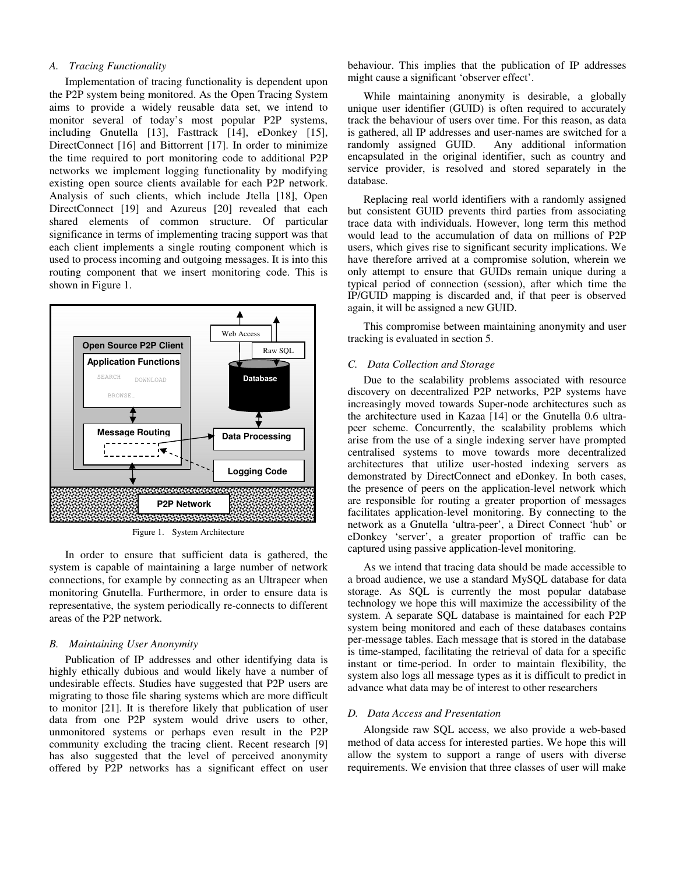# *A. Tracing Functionality*

Implementation of tracing functionality is dependent upon the P2P system being monitored. As the Open Tracing System aims to provide a widely reusable data set, we intend to monitor several of today's most popular P2P systems, including Gnutella [13], Fasttrack [14], eDonkey [15], DirectConnect [16] and Bittorrent [17]. In order to minimize the time required to port monitoring code to additional P2P networks we implement logging functionality by modifying existing open source clients available for each P2P network. Analysis of such clients, which include Jtella [18], Open DirectConnect [19] and Azureus [20] revealed that each shared elements of common structure. Of particular significance in terms of implementing tracing support was that each client implements a single routing component which is used to process incoming and outgoing messages. It is into this routing component that we insert monitoring code. This is shown in Figure 1.



Figure 1. System Architecture

In order to ensure that sufficient data is gathered, the system is capable of maintaining a large number of network connections, for example by connecting as an Ultrapeer when monitoring Gnutella. Furthermore, in order to ensure data is representative, the system periodically re-connects to different areas of the P2P network.

# *B. Maintaining User Anonymity*

Publication of IP addresses and other identifying data is highly ethically dubious and would likely have a number of undesirable effects. Studies have suggested that P2P users are migrating to those file sharing systems which are more difficult to monitor [21]. It is therefore likely that publication of user data from one P2P system would drive users to other, unmonitored systems or perhaps even result in the P2P community excluding the tracing client. Recent research [9] has also suggested that the level of perceived anonymity offered by P2P networks has a significant effect on user

behaviour. This implies that the publication of IP addresses might cause a significant 'observer effect'.

While maintaining anonymity is desirable, a globally unique user identifier (GUID) is often required to accurately track the behaviour of users over time. For this reason, as data is gathered, all IP addresses and user-names are switched for a randomly assigned GUID. Any additional information encapsulated in the original identifier, such as country and service provider, is resolved and stored separately in the database.

Replacing real world identifiers with a randomly assigned but consistent GUID prevents third parties from associating trace data with individuals. However, long term this method would lead to the accumulation of data on millions of P2P users, which gives rise to significant security implications. We have therefore arrived at a compromise solution, wherein we only attempt to ensure that GUIDs remain unique during a typical period of connection (session), after which time the IP/GUID mapping is discarded and, if that peer is observed again, it will be assigned a new GUID.

This compromise between maintaining anonymity and user tracking is evaluated in section 5.

## *C. Data Collection and Storage*

Due to the scalability problems associated with resource discovery on decentralized P2P networks, P2P systems have increasingly moved towards Super-node architectures such as the architecture used in Kazaa [14] or the Gnutella 0.6 ultrapeer scheme. Concurrently, the scalability problems which arise from the use of a single indexing server have prompted centralised systems to move towards more decentralized architectures that utilize user-hosted indexing servers as demonstrated by DirectConnect and eDonkey. In both cases, the presence of peers on the application-level network which are responsible for routing a greater proportion of messages facilitates application-level monitoring. By connecting to the network as a Gnutella 'ultra-peer', a Direct Connect 'hub' or eDonkey 'server', a greater proportion of traffic can be captured using passive application-level monitoring.

As we intend that tracing data should be made accessible to a broad audience, we use a standard MySQL database for data storage. As SQL is currently the most popular database technology we hope this will maximize the accessibility of the system. A separate SQL database is maintained for each P2P system being monitored and each of these databases contains per-message tables. Each message that is stored in the database is time-stamped, facilitating the retrieval of data for a specific instant or time-period. In order to maintain flexibility, the system also logs all message types as it is difficult to predict in advance what data may be of interest to other researchers

#### *D. Data Access and Presentation*

Alongside raw SQL access, we also provide a web-based method of data access for interested parties. We hope this will allow the system to support a range of users with diverse requirements. We envision that three classes of user will make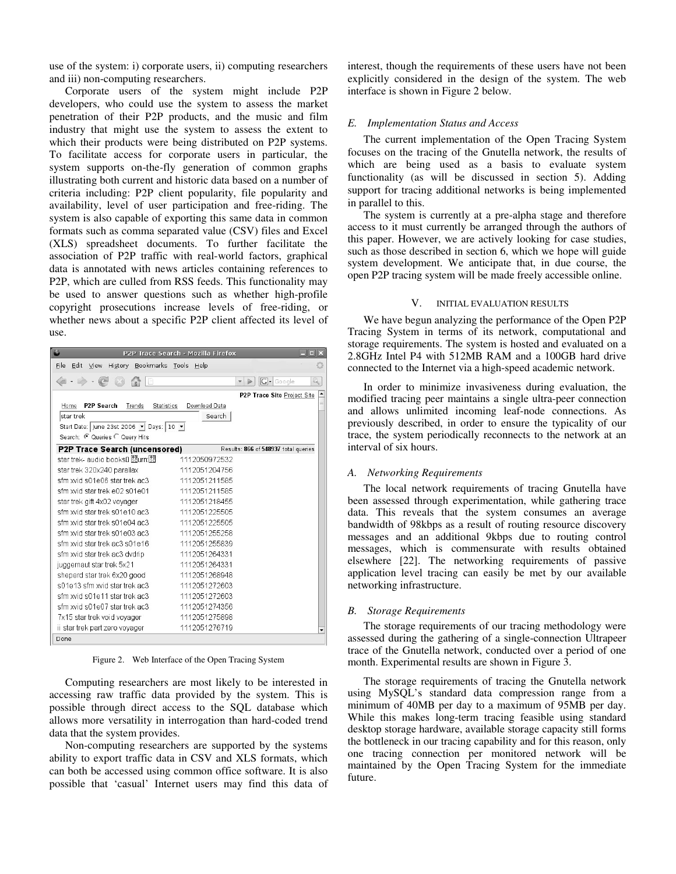use of the system: i) corporate users, ii) computing researchers and iii) non-computing researchers.

Corporate users of the system might include P2P developers, who could use the system to assess the market penetration of their P2P products, and the music and film industry that might use the system to assess the extent to which their products were being distributed on P2P systems. To facilitate access for corporate users in particular, the system supports on-the-fly generation of common graphs illustrating both current and historic data based on a number of criteria including: P2P client popularity, file popularity and availability, level of user participation and free-riding. The system is also capable of exporting this same data in common formats such as comma separated value (CSV) files and Excel (XLS) spreadsheet documents. To further facilitate the association of P2P traffic with real-world factors, graphical data is annotated with news articles containing references to P2P, which are culled from RSS feeds. This functionality may be used to answer questions such as whether high-profile copyright prosecutions increase levels of free-riding, or whether news about a specific P2P client affected its level of use.

| P2P Trace Search - Mozilla Firefox<br>$\Box$ x           |                                                         |
|----------------------------------------------------------|---------------------------------------------------------|
| File<br>Edit View<br>History Bookmarks Tools Help        |                                                         |
|                                                          | $G$ Google<br>Q<br>$\triangleright$<br>v                |
|                                                          | P2P Trace Site Project Site<br>$\overline{\phantom{a}}$ |
| <b>P2P Search</b><br>Trends<br><b>Statistics</b><br>Home | Download Data                                           |
| star trek                                                | Search                                                  |
| Start Date: June 23st 2006 - Days: 10 -                  |                                                         |
| Search: 6 Queries C Query Hits                           |                                                         |
| <b>P2P Trace Search (uncensored)</b>                     | Results: 866 of 548937 total queries                    |
| star trek- audio books⊔ ใใยนทาใใย                        | 1112050972532                                           |
| star trek 320x240 parallax                               | 1112051204756                                           |
| sfm xvid s01e06 star trek ac3                            | 1112051211585                                           |
| sfm xvid star trek e02 s01e01                            | 1112051211585                                           |
| star trek gift 4x02 voyager                              | 1112051218455                                           |
| sfm xvid star trek s01e10 ac3                            | 1112051225505                                           |
| sfm wid star trek s01e04 ac3                             | 1112051225505                                           |
| sfm xvid star trek s01e03 ac3                            | 1112051255258                                           |
| sfm xvid star trek ac3 s01e16                            | 1112051255839                                           |
| sfm xvid star trek ac3 dvdrip                            | 1112051264331                                           |
| juggernaut star trek 5x21                                | 1112051264331                                           |
| sheperd star trek 6x20 good                              | 1112051268948                                           |
| s01e13 sfm xvid star trek ac3                            | 1112051272603                                           |
| sfm xvid s01e11 star trek ac3                            | 1112051272603                                           |
| sfm xvid s01e07 star trek ac3                            | 1112051274356                                           |
| 7x15 star trek void voyager                              | 1112051275898                                           |
| ii star trek part zero voyager                           | 1112051276719<br>۰                                      |
| Done                                                     |                                                         |

Figure 2. Web Interface of the Open Tracing System

Computing researchers are most likely to be interested in accessing raw traffic data provided by the system. This is possible through direct access to the SQL database which allows more versatility in interrogation than hard-coded trend data that the system provides.

Non-computing researchers are supported by the systems ability to export traffic data in CSV and XLS formats, which can both be accessed using common office software. It is also possible that 'casual' Internet users may find this data of interest, though the requirements of these users have not been explicitly considered in the design of the system. The web interface is shown in Figure 2 below.

## *E. Implementation Status and Access*

The current implementation of the Open Tracing System focuses on the tracing of the Gnutella network, the results of which are being used as a basis to evaluate system functionality (as will be discussed in section 5). Adding support for tracing additional networks is being implemented in parallel to this.

The system is currently at a pre-alpha stage and therefore access to it must currently be arranged through the authors of this paper. However, we are actively looking for case studies, such as those described in section 6, which we hope will guide system development. We anticipate that, in due course, the open P2P tracing system will be made freely accessible online.

## V. INITIAL EVALUATION RESULTS

We have begun analyzing the performance of the Open P2P Tracing System in terms of its network, computational and storage requirements. The system is hosted and evaluated on a 2.8GHz Intel P4 with 512MB RAM and a 100GB hard drive connected to the Internet via a high-speed academic network.

In order to minimize invasiveness during evaluation, the modified tracing peer maintains a single ultra-peer connection and allows unlimited incoming leaf-node connections. As previously described, in order to ensure the typicality of our trace, the system periodically reconnects to the network at an interval of six hours.

#### *A. Networking Requirements*

The local network requirements of tracing Gnutella have been assessed through experimentation, while gathering trace data. This reveals that the system consumes an average bandwidth of 98kbps as a result of routing resource discovery messages and an additional 9kbps due to routing control messages, which is commensurate with results obtained elsewhere [22]. The networking requirements of passive application level tracing can easily be met by our available networking infrastructure.

#### *B. Storage Requirements*

The storage requirements of our tracing methodology were assessed during the gathering of a single-connection Ultrapeer trace of the Gnutella network, conducted over a period of one month. Experimental results are shown in Figure 3.

The storage requirements of tracing the Gnutella network using MySQL's standard data compression range from a minimum of 40MB per day to a maximum of 95MB per day. While this makes long-term tracing feasible using standard desktop storage hardware, available storage capacity still forms the bottleneck in our tracing capability and for this reason, only one tracing connection per monitored network will be maintained by the Open Tracing System for the immediate future.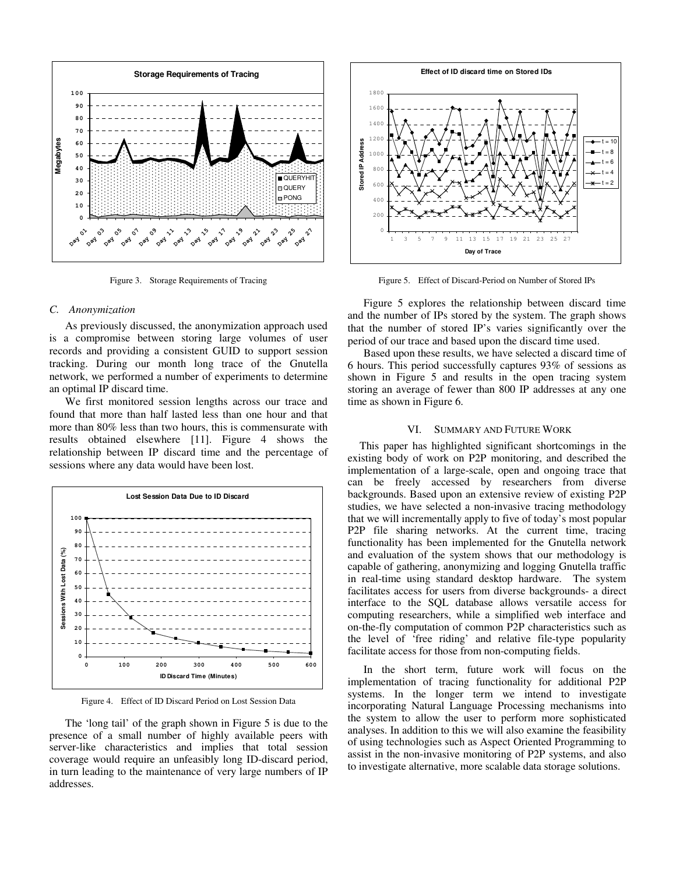

Figure 3. Storage Requirements of Tracing

## *C. Anonymization*

As previously discussed, the anonymization approach used is a compromise between storing large volumes of user records and providing a consistent GUID to support session tracking. During our month long trace of the Gnutella network, we performed a number of experiments to determine an optimal IP discard time.

We first monitored session lengths across our trace and found that more than half lasted less than one hour and that more than 80% less than two hours, this is commensurate with results obtained elsewhere [11]. Figure 4 shows the relationship between IP discard time and the percentage of sessions where any data would have been lost.



Figure 4. Effect of ID Discard Period on Lost Session Data

The 'long tail' of the graph shown in Figure 5 is due to the presence of a small number of highly available peers with server-like characteristics and implies that total session coverage would require an unfeasibly long ID-discard period, in turn leading to the maintenance of very large numbers of IP addresses.



Figure 5. Effect of Discard-Period on Number of Stored IPs

Figure 5 explores the relationship between discard time and the number of IPs stored by the system. The graph shows that the number of stored IP's varies significantly over the period of our trace and based upon the discard time used.

Based upon these results, we have selected a discard time of 6 hours. This period successfully captures 93% of sessions as shown in Figure 5 and results in the open tracing system storing an average of fewer than 800 IP addresses at any one time as shown in Figure 6.

## VI. SUMMARY AND FUTURE WORK

This paper has highlighted significant shortcomings in the existing body of work on P2P monitoring, and described the implementation of a large-scale, open and ongoing trace that can be freely accessed by researchers from diverse backgrounds. Based upon an extensive review of existing P2P studies, we have selected a non-invasive tracing methodology that we will incrementally apply to five of today's most popular P2P file sharing networks. At the current time, tracing functionality has been implemented for the Gnutella network and evaluation of the system shows that our methodology is capable of gathering, anonymizing and logging Gnutella traffic in real-time using standard desktop hardware. The system facilitates access for users from diverse backgrounds- a direct interface to the SQL database allows versatile access for computing researchers, while a simplified web interface and on-the-fly computation of common P2P characteristics such as the level of 'free riding' and relative file-type popularity facilitate access for those from non-computing fields.

In the short term, future work will focus on the implementation of tracing functionality for additional P2P systems. In the longer term we intend to investigate incorporating Natural Language Processing mechanisms into the system to allow the user to perform more sophisticated analyses. In addition to this we will also examine the feasibility of using technologies such as Aspect Oriented Programming to assist in the non-invasive monitoring of P2P systems, and also to investigate alternative, more scalable data storage solutions.